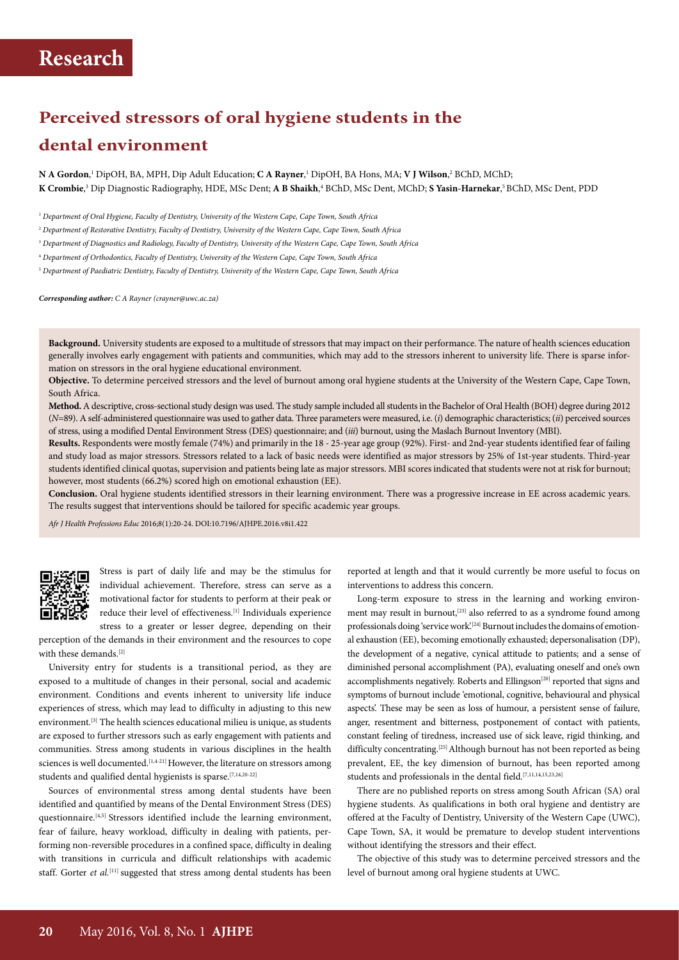# **Perceived stressors of oral hygiene students in the dental environment**

 $\bf N$  **A Gordon**,' DipOH, BA, MPH, Dip Adult Education;  $\bf C$  **A Rayner**,' DipOH, BA Hons, MA;  $\bf V$  **J Wilson**,? BChD, MChD; **K Crombie**, 3 Dip Diagnostic Radiography, HDE, MSc Dent; **A B Shaikh**, 4 BChD, MSc Dent, MChD; **S Yasin-Harnekar**, 5 BChD, MSc Dent, PDD

<sup>1</sup> *Department of Oral Hygiene, Faculty of Dentistry, University of the Western Cape, Cape Town, South Africa*

<sup>2</sup> *Department of Restorative Dentistry, Faculty of Dentistry, University of the Western Cape, Cape Town, South Africa*

<sup>3</sup> *Department of Diagnostics and Radiology, Faculty of Dentistry, University of the Western Cape, Cape Town, South Africa*

<sup>4</sup> *Department of Orthodontics, Faculty of Dentistry, University of the Western Cape, Cape Town, South Africa*

<sup>5</sup> *Department of Paediatric Dentistry, Faculty of Dentistry, University of the Western Cape, Cape Town, South Africa*

*Corresponding author: C A Rayner (crayner@uwc.ac.za)*

**Background***.* University students are exposed to a multitude of stressors that may impact on their performance. The nature of health sciences education generally involves early engagement with patients and communities, which may add to the stressors inherent to university life. There is sparse information on stressors in the oral hygiene educational environment.

**Objective.** To determine perceived stressors and the level of burnout among oral hygiene students at the University of the Western Cape, Cape Town, South Africa.

**Method.** A descriptive, cross-sectional study design was used. The study sample included all students in the Bachelor of Oral Health (BOH) degree during 2012 (*N*=89). A self-administered questionnaire was used to gather data. Three parameters were measured, i.e. (*i*) demographic characteristics; (*ii*) perceived sources of stress, using a modified Dental Environment Stress (DES) questionnaire; and (*iii*) burnout, using the Maslach Burnout Inventory (MBI).

**Results.** Respondents were mostly female (74%) and primarily in the 18 - 25-year age group (92%). First- and 2nd-year students identified fear of failing and study load as major stressors. Stressors related to a lack of basic needs were identified as major stressors by 25% of 1st-year students. Third-year students identified clinical quotas, supervision and patients being late as major stressors. MBI scores indicated that students were not at risk for burnout; however, most students (66.2%) scored high on emotional exhaustion (EE).

**Conclusion.** Oral hygiene students identified stressors in their learning environment. There was a progressive increase in EE across academic years. The results suggest that interventions should be tailored for specific academic year groups.

*Afr J Health Professions Educ* 2016;8(1):20-24. DOI:10.7196/AJHPE.2016.v8i1.422



Stress is part of daily life and may be the stimulus for individual achievement. Therefore, stress can serve as a motivational factor for students to perform at their peak or reduce their level of effectiveness.[1] Individuals experience

stress to a greater or lesser degree, depending on their perception of the demands in their environment and the resources to cope with these demands.<sup>[2]</sup>

University entry for students is a transitional period, as they are exposed to a multitude of changes in their personal, social and academic environment. Conditions and events inherent to university life induce experiences of stress, which may lead to difficulty in adjusting to this new environment.<sup>[3]</sup> The health sciences educational milieu is unique, as students are exposed to further stressors such as early engagement with patients and communities. Stress among students in various disciplines in the health sciences is well documented.<sup>[1,4-21]</sup> However, the literature on stressors among students and qualified dental hygienists is sparse.[7,14,20-22]

Sources of environmental stress among dental students have been identified and quantified by means of the Dental Environment Stress (DES) questionnaire.[4,5] Stressors identified include the learning environment, fear of failure, heavy workload, difficulty in dealing with patients, performing non-reversible procedures in a confined space, difficulty in dealing with transitions in curricula and difficult relationships with academic staff. Gorter *et al.*<sup>[11]</sup> suggested that stress among dental students has been

reported at length and that it would currently be more useful to focus on interventions to address this concern.

Long-term exposure to stress in the learning and working environment may result in burnout,<sup>[23]</sup> also referred to as a syndrome found among professionals doing 'service work'.<sup>[24]</sup> Burnout includes the domains of emotional exhaustion (EE), becoming emotionally exhausted; depersonalisation (DP), the development of a negative, cynical attitude to patients; and a sense of diminished personal accomplishment (PA), evaluating oneself and one's own accomplishments negatively. Roberts and Ellingson<sup>[20]</sup> reported that signs and symptoms of burnout include 'emotional, cognitive, behavioural and physical aspects'. These may be seen as loss of humour, a persistent sense of failure, anger, resentment and bitterness, postponement of contact with patients, constant feeling of tiredness, increased use of sick leave, rigid thinking, and difficulty concentrating.<sup>[25]</sup> Although burnout has not been reported as being prevalent, EE, the key dimension of burnout, has been reported among students and professionals in the dental field.[7,11,14,15,23,26]

There are no published reports on stress among South African (SA) oral hygiene students. As qualifications in both oral hygiene and dentistry are offered at the Faculty of Dentistry, University of the Western Cape (UWC), Cape Town, SA, it would be premature to develop student interventions without identifying the stressors and their effect.

The objective of this study was to determine perceived stressors and the level of burnout among oral hygiene students at UWC.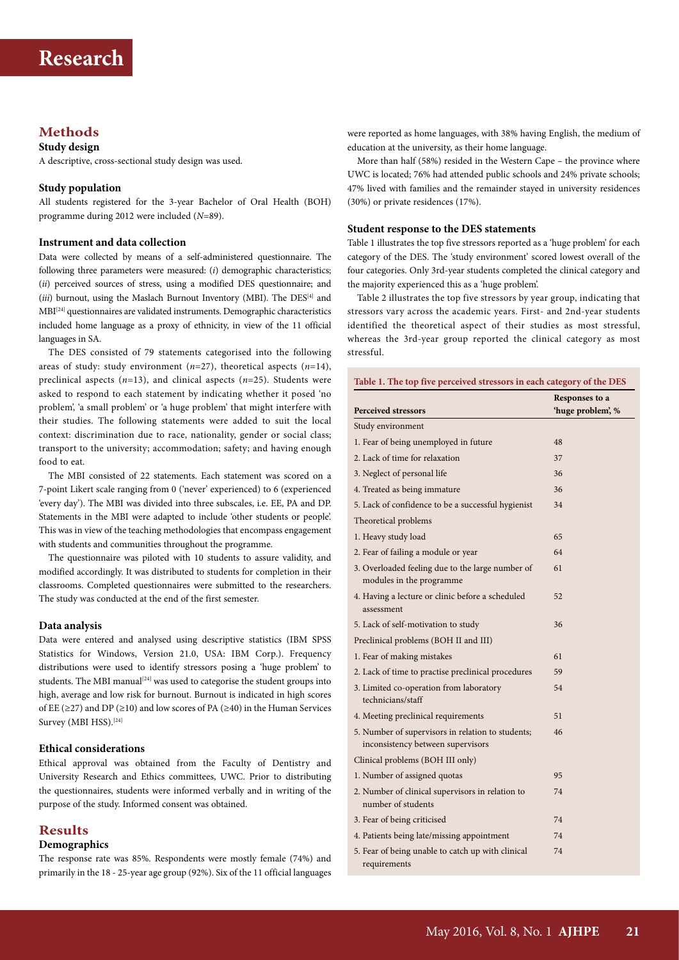## **Methods**

### **Study design**

A descriptive, cross-sectional study design was used.

#### **Study population**

All students registered for the 3-year Bachelor of Oral Health (BOH) programme during 2012 were included (*N*=89).

### **Instrument and data collection**

Data were collected by means of a self-administered questionnaire. The following three parameters were measured: (*i*) demographic characteristics; (*ii*) perceived sources of stress, using a modified DES questionnaire; and (*iii*) burnout, using the Maslach Burnout Inventory (MBI). The DES<sup>[4]</sup> and MBI[24] questionnaires are validated instruments. Demographic characteristics included home language as a proxy of ethnicity, in view of the 11 official languages in SA.

The DES consisted of 79 statements categorised into the following areas of study: study environment (*n*=27), theoretical aspects (*n*=14), preclinical aspects (*n*=13), and clinical aspects (*n*=25). Students were asked to respond to each statement by indicating whether it posed 'no problem', 'a small problem' or 'a huge problem' that might interfere with their studies. The following statements were added to suit the local context: discrimination due to race, nationality, gender or social class; transport to the university; accommodation; safety; and having enough food to eat*.*

The MBI consisted of 22 statements. Each statement was scored on a 7-point Likert scale ranging from 0 ('never' experienced) to 6 (experienced 'every day'). The MBI was divided into three subscales, i.e. EE, PA and DP. Statements in the MBI were adapted to include 'other students or people'. This was in view of the teaching methodologies that encompass engagement with students and communities throughout the programme*.* 

The questionnaire was piloted with 10 students to assure validity, and modified accordingly. It was distributed to students for completion in their classrooms. Completed questionnaires were submitted to the researchers. The study was conducted at the end of the first semester.

#### **Data analysis**

Data were entered and analysed using descriptive statistics (IBM SPSS Statistics for Windows, Version 21.0, USA: IBM Corp.). Frequency distributions were used to identify stressors posing a 'huge problem' to students. The MBI manual<sup>[24]</sup> was used to categorise the student groups into high, average and low risk for burnout. Burnout is indicated in high scores of EE ( $\geq$ 27) and DP ( $\geq$ 10) and low scores of PA ( $\geq$ 40) in the Human Services Survey (MBI HSS).<sup>[24]</sup>

### **Ethical considerations**

Ethical approval was obtained from the Faculty of Dentistry and University Research and Ethics committees, UWC. Prior to distributing the questionnaires, students were informed verbally and in writing of the purpose of the study. Informed consent was obtained.

### **Results**

### **Demographics**

The response rate was 85%. Respondents were mostly female (74%) and primarily in the 18 - 25-year age group (92%). Six of the 11 official languages

were reported as home languages, with 38% having English, the medium of education at the university, as their home language.

More than half (58%) resided in the Western Cape – the province where UWC is located; 76% had attended public schools and 24% private schools; 47% lived with families and the remainder stayed in university residences (30%) or private residences (17%).

### **Student response to the DES statements**

Table 1 illustrates the top five stressors reported as a 'huge problem' for each category of the DES. The 'study environment' scored lowest overall of the four categories. Only 3rd-year students completed the clinical category and the majority experienced this as a 'huge problem'.

Table 2 illustrates the top five stressors by year group, indicating that stressors vary across the academic years. First- and 2nd-year students identified the theoretical aspect of their studies as most stressful, whereas the 3rd-year group reported the clinical category as most stressful.

| Table 1. The top five perceived stressors in each category of the DES                  |                                     |  |  |  |
|----------------------------------------------------------------------------------------|-------------------------------------|--|--|--|
| <b>Perceived stressors</b>                                                             | Responses to a<br>'huge problem', % |  |  |  |
| Study environment                                                                      |                                     |  |  |  |
| 1. Fear of being unemployed in future                                                  | 48                                  |  |  |  |
| 2. Lack of time for relaxation                                                         | 37                                  |  |  |  |
| 3. Neglect of personal life                                                            | 36                                  |  |  |  |
| 4. Treated as being immature                                                           | 36                                  |  |  |  |
| 5. Lack of confidence to be a successful hygienist                                     | 34                                  |  |  |  |
| Theoretical problems                                                                   |                                     |  |  |  |
| 1. Heavy study load                                                                    | 65                                  |  |  |  |
| 2. Fear of failing a module or year                                                    | 64                                  |  |  |  |
| 3. Overloaded feeling due to the large number of<br>modules in the programme           | 61                                  |  |  |  |
| 4. Having a lecture or clinic before a scheduled<br>assessment                         | 52                                  |  |  |  |
| 5. Lack of self-motivation to study                                                    | 36                                  |  |  |  |
| Preclinical problems (BOH II and III)                                                  |                                     |  |  |  |
| 1. Fear of making mistakes                                                             | 61                                  |  |  |  |
| 2. Lack of time to practise preclinical procedures                                     | 59                                  |  |  |  |
| 3. Limited co-operation from laboratory<br>technicians/staff                           | 54                                  |  |  |  |
| 4. Meeting preclinical requirements                                                    | 51                                  |  |  |  |
| 5. Number of supervisors in relation to students;<br>inconsistency between supervisors | 46                                  |  |  |  |
| Clinical problems (BOH III only)                                                       |                                     |  |  |  |
| 1. Number of assigned quotas                                                           | 95                                  |  |  |  |
| 2. Number of clinical supervisors in relation to<br>number of students                 | 74                                  |  |  |  |
| 3. Fear of being criticised                                                            | 74                                  |  |  |  |
| 4. Patients being late/missing appointment                                             | 74                                  |  |  |  |
| 5. Fear of being unable to catch up with clinical<br>requirements                      | 74                                  |  |  |  |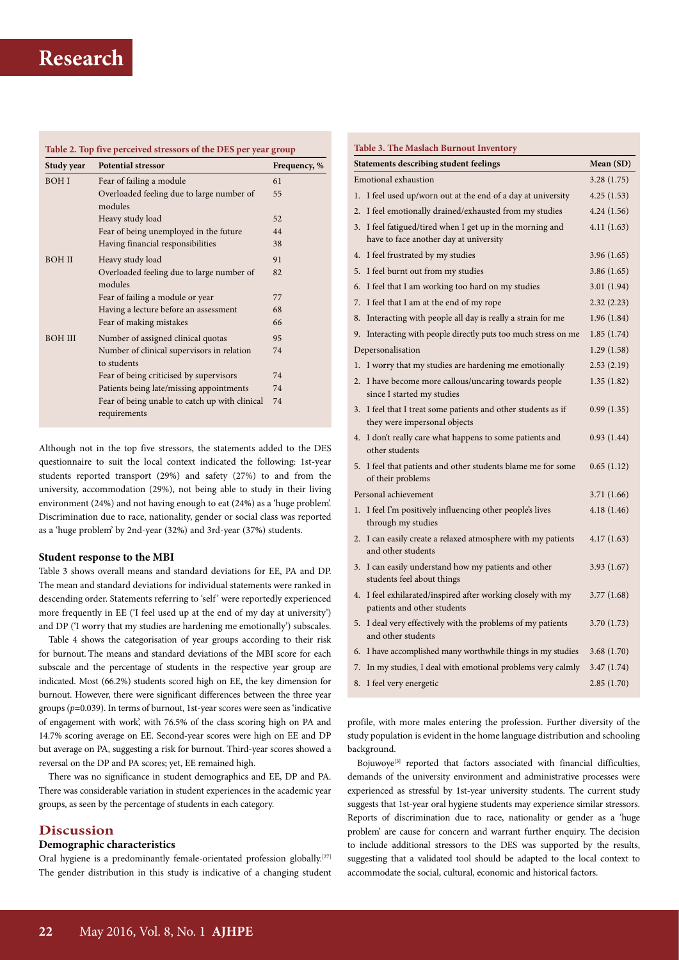# **Research**

|                | Table 2. Top five perceived stressors of the DES per year group |              |
|----------------|-----------------------------------------------------------------|--------------|
| Study year     | <b>Potential stressor</b>                                       | Frequency, % |
| <b>BOHI</b>    | Fear of failing a module                                        | 61           |
|                | Overloaded feeling due to large number of                       | 55           |
|                | modules                                                         |              |
|                | Heavy study load                                                | 52           |
|                | Fear of being unemployed in the future                          | 44           |
|                | Having financial responsibilities                               | 38           |
| <b>BOH II</b>  | Heavy study load                                                | 91           |
|                | Overloaded feeling due to large number of                       | 82           |
|                | modules                                                         |              |
|                | Fear of failing a module or year                                | 77           |
|                | Having a lecture before an assessment                           | 68           |
|                | Fear of making mistakes                                         | 66           |
| <b>BOH III</b> | Number of assigned clinical quotas                              | 95           |
|                | Number of clinical supervisors in relation                      | 74           |
|                | to students                                                     |              |
|                | Fear of being criticised by supervisors                         | 74           |
|                | Patients being late/missing appointments                        | 74           |
|                | Fear of being unable to catch up with clinical<br>requirements  | 74           |

Although not in the top five stressors, the statements added to the DES questionnaire to suit the local context indicated the following: 1st-year students reported transport (29%) and safety (27%) to and from the university, accommodation (29%), not being able to study in their living environment (24%) and not having enough to eat (24%) as a 'huge problem'. Discrimination due to race, nationality, gender or social class was reported as a 'huge problem' by 2nd-year (32%) and 3rd-year (37%) students.

### **Student response to the MBI**

Table 3 shows overall means and standard deviations for EE, PA and DP. The mean and standard deviations for individual statements were ranked in descending order. Statements referring to 'self' were reportedly experienced more frequently in EE ('I feel used up at the end of my day at university') and DP ('I worry that my studies are hardening me emotionally') subscales.

Table 4 shows the categorisation of year groups according to their risk for burnout. The means and standard deviations of the MBI score for each subscale and the percentage of students in the respective year group are indicated. Most (66.2%) students scored high on EE, the key dimension for burnout. However, there were significant differences between the three year groups (*p*=0.039). In terms of burnout, 1st-year scores were seen as 'indicative of engagement with work', with 76.5% of the class scoring high on PA and 14.7% scoring average on EE. Second-year scores were high on EE and DP but average on PA, suggesting a risk for burnout. Third-year scores showed a reversal on the DP and PA scores; yet, EE remained high.

There was no significance in student demographics and EE, DP and PA. There was considerable variation in student experiences in the academic year groups, as seen by the percentage of students in each category.

## **Discussion**

### **Demographic characteristics**

Oral hygiene is a predominantly female-orientated profession globally.<sup>[27]</sup> The gender distribution in this study is indicative of a changing student

| <b>Table 3. The Maslach Burnout Inventory</b>              |                                                                                                     |             |  |  |  |  |  |
|------------------------------------------------------------|-----------------------------------------------------------------------------------------------------|-------------|--|--|--|--|--|
| <b>Statements describing student feelings</b><br>Mean (SD) |                                                                                                     |             |  |  |  |  |  |
| <b>Emotional exhaustion</b>                                | 3.28(1.75)                                                                                          |             |  |  |  |  |  |
| 1.                                                         | I feel used up/worn out at the end of a day at university                                           | 4.25(1.53)  |  |  |  |  |  |
| $\overline{2}$ .                                           | I feel emotionally drained/exhausted from my studies                                                | 4.24(1.56)  |  |  |  |  |  |
|                                                            | 3. I feel fatigued/tired when I get up in the morning and<br>have to face another day at university | 4.11(1.63)  |  |  |  |  |  |
| 4.                                                         | I feel frustrated by my studies                                                                     | 3.96 (1.65) |  |  |  |  |  |
|                                                            | 5. I feel burnt out from my studies                                                                 | 3.86(1.65)  |  |  |  |  |  |
| 6.                                                         | I feel that I am working too hard on my studies                                                     | 3.01(1.94)  |  |  |  |  |  |
| 7.                                                         | I feel that I am at the end of my rope                                                              | 2.32(2.23)  |  |  |  |  |  |
| 8.                                                         | Interacting with people all day is really a strain for me                                           | 1.96(1.84)  |  |  |  |  |  |
|                                                            | 9. Interacting with people directly puts too much stress on me                                      | 1.85(1.74)  |  |  |  |  |  |
|                                                            | Depersonalisation                                                                                   | 1.29(1.58)  |  |  |  |  |  |
| 1.                                                         | I worry that my studies are hardening me emotionally                                                | 2.53(2.19)  |  |  |  |  |  |
| 2.                                                         | I have become more callous/uncaring towards people<br>since I started my studies                    | 1.35(1.82)  |  |  |  |  |  |
|                                                            | 3. I feel that I treat some patients and other students as if<br>they were impersonal objects       | 0.99(1.35)  |  |  |  |  |  |
|                                                            | 4. I don't really care what happens to some patients and<br>other students                          | 0.93(1.44)  |  |  |  |  |  |
|                                                            | 5. I feel that patients and other students blame me for some<br>of their problems                   | 0.65(1.12)  |  |  |  |  |  |
| Personal achievement                                       | 3.71 (1.66)                                                                                         |             |  |  |  |  |  |
| 1.                                                         | I feel I'm positively influencing other people's lives<br>through my studies                        | 4.18(1.46)  |  |  |  |  |  |
| 2.                                                         | I can easily create a relaxed atmosphere with my patients<br>and other students                     | 4.17(1.63)  |  |  |  |  |  |
|                                                            | 3. I can easily understand how my patients and other<br>students feel about things                  | 3.93(1.67)  |  |  |  |  |  |
|                                                            | 4. I feel exhilarated/inspired after working closely with my<br>patients and other students         | 3.77(1.68)  |  |  |  |  |  |
|                                                            | 5. I deal very effectively with the problems of my patients<br>and other students                   | 3.70 (1.73) |  |  |  |  |  |
|                                                            | 6. I have accomplished many worthwhile things in my studies                                         | 3.68 (1.70) |  |  |  |  |  |
| 7.                                                         | In my studies, I deal with emotional problems very calmly                                           | 3.47(1.74)  |  |  |  |  |  |
| 8.                                                         | I feel very energetic                                                                               | 2.85(1.70)  |  |  |  |  |  |
|                                                            |                                                                                                     |             |  |  |  |  |  |

profile, with more males entering the profession. Further diversity of the study population is evident in the home language distribution and schooling background.

Bojuwoye<sup>[3]</sup> reported that factors associated with financial difficulties, demands of the university environment and administrative processes were experienced as stressful by 1st-year university students. The current study suggests that 1st-year oral hygiene students may experience similar stressors. Reports of discrimination due to race, nationality or gender as a 'huge problem' are cause for concern and warrant further enquiry. The decision to include additional stressors to the DES was supported by the results, suggesting that a validated tool should be adapted to the local context to accommodate the social, cultural, economic and historical factors.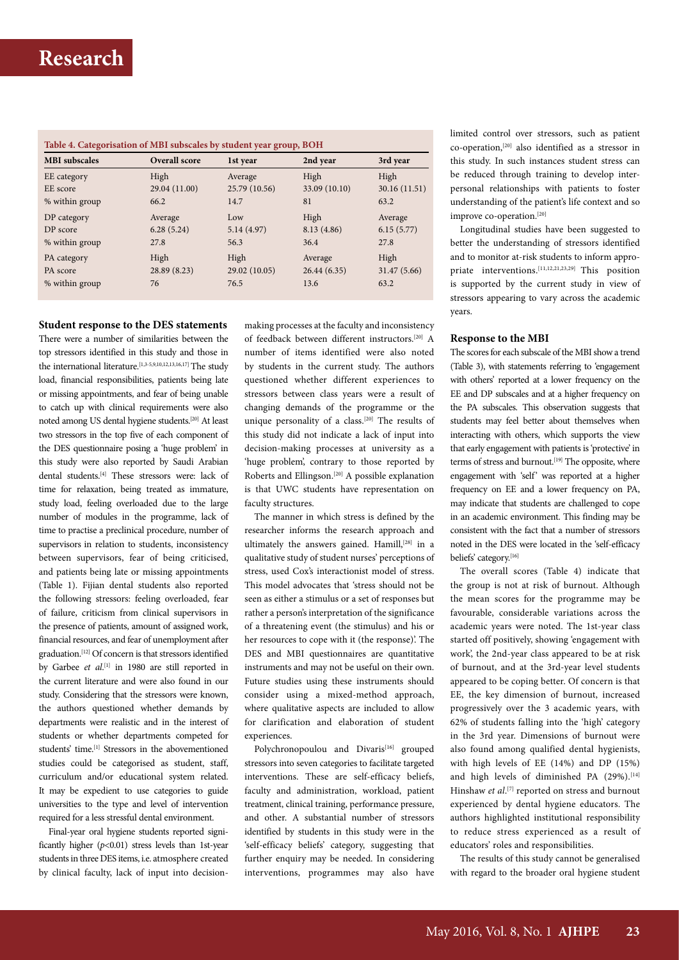## **Research**

| Table 4. Categorisation of MBI subscales by student year group, BOH |               |               |               |               |  |  |
|---------------------------------------------------------------------|---------------|---------------|---------------|---------------|--|--|
| <b>MBI</b> subscales                                                | Overall score | 1st year      | 2nd year      | 3rd year      |  |  |
| EE category                                                         | High          | Average       | High          | High          |  |  |
| EE score                                                            | 29.04 (11.00) | 25.79 (10.56) | 33.09 (10.10) | 30.16 (11.51) |  |  |
| % within group                                                      | 66.2          | 14.7          | 81            | 63.2          |  |  |
| DP category                                                         | Average       | Low           | High          | Average       |  |  |
| DP score                                                            | 6.28(5.24)    | 5.14(4.97)    | 8.13(4.86)    | 6.15(5.77)    |  |  |
| % within group                                                      | 27.8          | 56.3          | 36.4          | 27.8          |  |  |
| PA category                                                         | High          | High          | Average       | High          |  |  |
| PA score                                                            | 28.89 (8.23)  | 29.02 (10.05) | 26.44(6.35)   | 31.47 (5.66)  |  |  |
| % within group                                                      | 76            | 76.5          | 13.6          | 63.2          |  |  |

### **Student response to the DES statements**

There were a number of similarities between the top stressors identified in this study and those in the international literature.<sup>[1,3-5,9,10,12,13,16,17]</sup> The study load, financial responsibilities, patients being late or missing appointments, and fear of being unable to catch up with clinical requirements were also noted among US dental hygiene students.[20] At least two stressors in the top five of each component of the DES questionnaire posing a 'huge problem' in this study were also reported by Saudi Arabian dental students.[4] These stressors were: lack of time for relaxation, being treated as immature, study load, feeling overloaded due to the large number of modules in the programme, lack of time to practise a preclinical procedure, number of supervisors in relation to students, inconsistency between supervisors, fear of being criticised, and patients being late or missing appointments (Table 1). Fijian dental students also reported the following stressors: feeling overloaded, fear of failure, criticism from clinical supervisors in the presence of patients, amount of assigned work, financial resources, and fear of unemployment after graduation.[12] Of concern is that stressors identified by Garbee *et al*. [1] in 1980 are still reported in the current literature and were also found in our study. Considering that the stressors were known, the authors questioned whether demands by departments were realistic and in the interest of students or whether departments competed for students' time.<sup>[1]</sup> Stressors in the abovementioned studies could be categorised as student, staff, curriculum and/or educational system related. It may be expedient to use categories to guide universities to the type and level of intervention required for a less stressful dental environment.

Final-year oral hygiene students reported significantly higher (*p*<0.01) stress levels than 1st-year students in three DES items, i.e. atmosphere created by clinical faculty, lack of input into decisionmaking processes at the faculty and inconsistency of feedback between different instructors.[20] A number of items identified were also noted by students in the current study. The authors questioned whether different experiences to stressors between class years were a result of changing demands of the programme or the unique personality of a class.<sup>[20]</sup> The results of this study did not indicate a lack of input into decision-making processes at university as a 'huge problem', contrary to those reported by Roberts and Ellingson.[20] A possible explanation is that UWC students have representation on faculty structures.

The manner in which stress is defined by the researcher informs the research approach and ultimately the answers gained. Hamill,<sup>[28]</sup> in a qualitative study of student nurses' perceptions of stress, used Cox's interactionist model of stress. This model advocates that 'stress should not be seen as either a stimulus or a set of responses but rather a person's interpretation of the significance of a threatening event (the stimulus) and his or her resources to cope with it (the response)'. The DES and MBI questionnaires are quantitative instruments and may not be useful on their own. Future studies using these instruments should consider using a mixed-method approach, where qualitative aspects are included to allow for clarification and elaboration of student experiences.

Polychronopoulou and Divaris<sup>[16]</sup> grouped stressors into seven categories to facilitate targeted interventions. These are self-efficacy beliefs, faculty and administration, workload, patient treatment, clinical training, performance pressure, and other. A substantial number of stressors identified by students in this study were in the 'self-efficacy beliefs' category, suggesting that further enquiry may be needed. In considering interventions, programmes may also have

limited control over stressors, such as patient co-operation,[20] also identified as a stressor in this study. In such instances student stress can be reduced through training to develop interpersonal relationships with patients to foster understanding of the patient's life context and so improve co-operation.[20]

Longitudinal studies have been suggested to better the understanding of stressors identified and to monitor at-risk students to inform appropriate interventions.[11,12,21,23,29] This position is supported by the current study in view of stressors appearing to vary across the academic years.

#### **Response to the MBI**

The scores for each subscale of the MBI show a trend (Table 3), with statements referring to 'engagement with others' reported at a lower frequency on the EE and DP subscales and at a higher frequency on the PA subscales. This observation suggests that students may feel better about themselves when interacting with others, which supports the view that early engagement with patients is 'protective' in terms of stress and burnout.<sup>[19]</sup> The opposite, where engagement with 'self' was reported at a higher frequency on EE and a lower frequency on PA, may indicate that students are challenged to cope in an academic environment. This finding may be consistent with the fact that a number of stressors noted in the DES were located in the 'self-efficacy beliefs' category.[16]

The overall scores (Table 4) indicate that the group is not at risk of burnout. Although the mean scores for the programme may be favourable, considerable variations across the academic years were noted. The 1st-year class started off positively, showing 'engagement with work', the 2nd-year class appeared to be at risk of burnout, and at the 3rd-year level students appeared to be coping better. Of concern is that EE, the key dimension of burnout, increased progressively over the 3 academic years, with 62% of students falling into the 'high' category in the 3rd year. Dimensions of burnout were also found among qualified dental hygienists, with high levels of EE (14%) and DP (15%) and high levels of diminished PA (29%).<sup>[14]</sup> Hinshaw *et al.*<sup>[7]</sup> reported on stress and burnout experienced by dental hygiene educators. The authors highlighted institutional responsibility to reduce stress experienced as a result of educators' roles and responsibilities.

The results of this study cannot be generalised with regard to the broader oral hygiene student